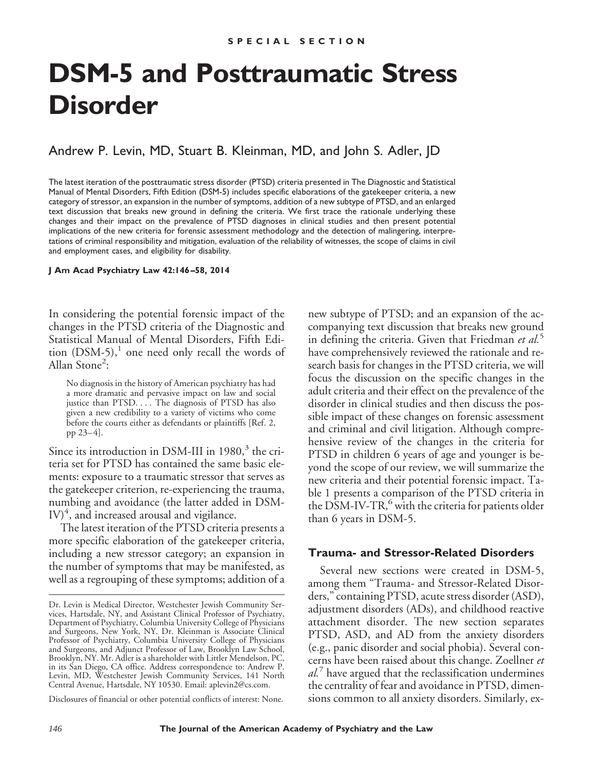# **DSM-5 and Posttraumatic Stress Disorder**

Andrew P. Levin, MD, Stuart B. Kleinman, MD, and John S. Adler, JD

The latest iteration of the posttraumatic stress disorder (PTSD) criteria presented in The Diagnostic and Statistical Manual of Mental Disorders, Fifth Edition (DSM-5) includes specific elaborations of the gatekeeper criteria, a new category of stressor, an expansion in the number of symptoms, addition of a new subtype of PTSD, and an enlarged text discussion that breaks new ground in defining the criteria. We first trace the rationale underlying these changes and their impact on the prevalence of PTSD diagnoses in clinical studies and then present potential implications of the new criteria for forensic assessment methodology and the detection of malingering, interpretations of criminal responsibility and mitigation, evaluation of the reliability of witnesses, the scope of claims in civil and employment cases, and eligibility for disability.

**J Am Acad Psychiatry Law 42:146 –58, 2014**

In considering the potential forensic impact of the changes in the PTSD criteria of the Diagnostic and Statistical Manual of Mental Disorders, Fifth Edition  $(DSM-5)$ ,<sup>1</sup> one need only recall the words of Allan Stone<sup>2</sup>:

No diagnosis in the history of American psychiatry has had a more dramatic and pervasive impact on law and social justice than PTSD.... The diagnosis of PTSD has also given a new credibility to a variety of victims who come before the courts either as defendants or plaintiffs [Ref. 2, pp  $23-4$ ].

Since its introduction in DSM-III in  $1980<sup>3</sup>$ , the criteria set for PTSD has contained the same basic elements: exposure to a traumatic stressor that serves as the gatekeeper criterion, re-experiencing the trauma, numbing and avoidance (the latter added in DSM- $\mathrm{IV})^4$ , and increased arousal and vigilance.

The latest iteration of the PTSD criteria presents a more specific elaboration of the gatekeeper criteria, including a new stressor category; an expansion in the number of symptoms that may be manifested, as well as a regrouping of these symptoms; addition of a

Disclosures of financial or other potential conflicts of interest: None.

new subtype of PTSD; and an expansion of the accompanying text discussion that breaks new ground in defining the criteria. Given that Friedman *et al.*<sup>5</sup> have comprehensively reviewed the rationale and research basis for changes in the PTSD criteria, we will focus the discussion on the specific changes in the adult criteria and their effect on the prevalence of the disorder in clinical studies and then discuss the possible impact of these changes on forensic assessment and criminal and civil litigation. Although comprehensive review of the changes in the criteria for PTSD in children 6 years of age and younger is beyond the scope of our review, we will summarize the new criteria and their potential forensic impact. Table 1 presents a comparison of the PTSD criteria in the DSM-IV-TR, $^6$  with the criteria for patients older than 6 years in DSM-5.

### **Trauma- and Stressor-Related Disorders**

Several new sections were created in DSM-5, among them "Trauma- and Stressor-Related Disorders," containing PTSD, acute stress disorder (ASD), adjustment disorders (ADs), and childhood reactive attachment disorder. The new section separates PTSD, ASD, and AD from the anxiety disorders (e.g., panic disorder and social phobia). Several concerns have been raised about this change. Zoellner *et al.*<sup>7</sup> have argued that the reclassification undermines the centrality of fear and avoidance in PTSD, dimensions common to all anxiety disorders. Similarly, ex-

Dr. Levin is Medical Director, Westchester Jewish Community Services, Hartsdale, NY, and Assistant Clinical Professor of Psychiatry, Department of Psychiatry, Columbia University College of Physicians and Surgeons, New York, NY. Dr. Kleinman is Associate Clinical Professor of Psychiatry, Columbia University College of Physicians and Surgeons, and Adjunct Professor of Law, Brooklyn Law School, Brooklyn, NY. Mr. Adler is a shareholder with Littler Mendelson, PC, in its San Diego, CA office. Address correspondence to: Andrew P. Levin, MD, Westchester Jewish Community Services, 141 North Central Avenue, Hartsdale, NY 10530. Email: aplevin2@cs.com.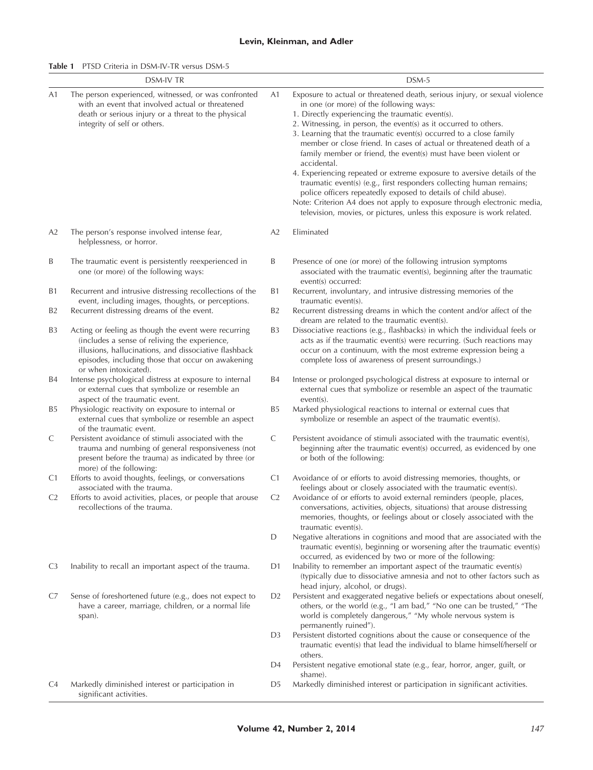#### **Levin, Kleinman, and Adler**

**Table 1** PTSD Criteria in DSM-IV-TR versus DSM-5

|                | <b>DSM-IV TR</b>                                                                                                                                                                                                                             |                | DSM-5                                                                                                                                                                                                                                                                                                                                                                                                                                                                                                                                                                                                                                                                                                                                                                                                                                                  |
|----------------|----------------------------------------------------------------------------------------------------------------------------------------------------------------------------------------------------------------------------------------------|----------------|--------------------------------------------------------------------------------------------------------------------------------------------------------------------------------------------------------------------------------------------------------------------------------------------------------------------------------------------------------------------------------------------------------------------------------------------------------------------------------------------------------------------------------------------------------------------------------------------------------------------------------------------------------------------------------------------------------------------------------------------------------------------------------------------------------------------------------------------------------|
| A1             | The person experienced, witnessed, or was confronted<br>with an event that involved actual or threatened<br>death or serious injury or a threat to the physical<br>integrity of self or others.                                              | A1             | Exposure to actual or threatened death, serious injury, or sexual violence<br>in one (or more) of the following ways:<br>1. Directly experiencing the traumatic event(s).<br>2. Witnessing, in person, the event(s) as it occurred to others.<br>3. Learning that the traumatic event(s) occurred to a close family<br>member or close friend. In cases of actual or threatened death of a<br>family member or friend, the event(s) must have been violent or<br>accidental.<br>4. Experiencing repeated or extreme exposure to aversive details of the<br>traumatic event(s) (e.g., first responders collecting human remains;<br>police officers repeatedly exposed to details of child abuse).<br>Note: Criterion A4 does not apply to exposure through electronic media,<br>television, movies, or pictures, unless this exposure is work related. |
| A2             | The person's response involved intense fear,<br>helplessness, or horror.                                                                                                                                                                     | A2             | Eliminated                                                                                                                                                                                                                                                                                                                                                                                                                                                                                                                                                                                                                                                                                                                                                                                                                                             |
| B              | The traumatic event is persistently reexperienced in<br>one (or more) of the following ways:                                                                                                                                                 | Β              | Presence of one (or more) of the following intrusion symptoms<br>associated with the traumatic event(s), beginning after the traumatic<br>event(s) occurred:                                                                                                                                                                                                                                                                                                                                                                                                                                                                                                                                                                                                                                                                                           |
| <b>B1</b>      | Recurrent and intrusive distressing recollections of the<br>event, including images, thoughts, or perceptions.                                                                                                                               | Β1             | Recurrent, involuntary, and intrusive distressing memories of the<br>traumatic event(s).                                                                                                                                                                                                                                                                                                                                                                                                                                                                                                                                                                                                                                                                                                                                                               |
| B <sub>2</sub> | Recurrent distressing dreams of the event.                                                                                                                                                                                                   | B <sub>2</sub> | Recurrent distressing dreams in which the content and/or affect of the<br>dream are related to the traumatic event(s).                                                                                                                                                                                                                                                                                                                                                                                                                                                                                                                                                                                                                                                                                                                                 |
| B3             | Acting or feeling as though the event were recurring<br>(includes a sense of reliving the experience,<br>illusions, hallucinations, and dissociative flashback<br>episodes, including those that occur on awakening<br>or when intoxicated). | B <sub>3</sub> | Dissociative reactions (e.g., flashbacks) in which the individual feels or<br>acts as if the traumatic event(s) were recurring. (Such reactions may<br>occur on a continuum, with the most extreme expression being a<br>complete loss of awareness of present surroundings.)                                                                                                                                                                                                                                                                                                                                                                                                                                                                                                                                                                          |
| B4             | Intense psychological distress at exposure to internal<br>or external cues that symbolize or resemble an<br>aspect of the traumatic event.                                                                                                   | B4             | Intense or prolonged psychological distress at exposure to internal or<br>external cues that symbolize or resemble an aspect of the traumatic<br>$event(s)$ .                                                                                                                                                                                                                                                                                                                                                                                                                                                                                                                                                                                                                                                                                          |
| B5             | Physiologic reactivity on exposure to internal or<br>external cues that symbolize or resemble an aspect<br>of the traumatic event.                                                                                                           | B5             | Marked physiological reactions to internal or external cues that<br>symbolize or resemble an aspect of the traumatic event(s).                                                                                                                                                                                                                                                                                                                                                                                                                                                                                                                                                                                                                                                                                                                         |
| C              | Persistent avoidance of stimuli associated with the<br>trauma and numbing of general responsiveness (not<br>present before the trauma) as indicated by three (or<br>more) of the following:                                                  | C              | Persistent avoidance of stimuli associated with the traumatic event(s),<br>beginning after the traumatic event(s) occurred, as evidenced by one<br>or both of the following:                                                                                                                                                                                                                                                                                                                                                                                                                                                                                                                                                                                                                                                                           |
| C <sub>1</sub> | Efforts to avoid thoughts, feelings, or conversations<br>associated with the trauma.                                                                                                                                                         | C <sub>1</sub> | Avoidance of or efforts to avoid distressing memories, thoughts, or<br>feelings about or closely associated with the traumatic event(s).                                                                                                                                                                                                                                                                                                                                                                                                                                                                                                                                                                                                                                                                                                               |
| C <sub>2</sub> | Efforts to avoid activities, places, or people that arouse<br>recollections of the trauma.                                                                                                                                                   | C <sub>2</sub> | Avoidance of or efforts to avoid external reminders (people, places,<br>conversations, activities, objects, situations) that arouse distressing<br>memories, thoughts, or feelings about or closely associated with the<br>traumatic event(s).                                                                                                                                                                                                                                                                                                                                                                                                                                                                                                                                                                                                         |
|                |                                                                                                                                                                                                                                              | D              | Negative alterations in cognitions and mood that are associated with the<br>traumatic event(s), beginning or worsening after the traumatic event(s)<br>occurred, as evidenced by two or more of the following:                                                                                                                                                                                                                                                                                                                                                                                                                                                                                                                                                                                                                                         |
| C <sub>3</sub> | Inability to recall an important aspect of the trauma.                                                                                                                                                                                       | D1             | Inability to remember an important aspect of the traumatic event(s)<br>(typically due to dissociative amnesia and not to other factors such as<br>head injury, alcohol, or drugs).                                                                                                                                                                                                                                                                                                                                                                                                                                                                                                                                                                                                                                                                     |
| C7             | Sense of foreshortened future (e.g., does not expect to<br>have a career, marriage, children, or a normal life<br>span).                                                                                                                     | D <sub>2</sub> | Persistent and exaggerated negative beliefs or expectations about oneself,<br>others, or the world (e.g., "I am bad," "No one can be trusted," "The<br>world is completely dangerous," "My whole nervous system is<br>permanently ruined").                                                                                                                                                                                                                                                                                                                                                                                                                                                                                                                                                                                                            |
|                |                                                                                                                                                                                                                                              | D3             | Persistent distorted cognitions about the cause or consequence of the<br>traumatic event(s) that lead the individual to blame himself/herself or<br>others.                                                                                                                                                                                                                                                                                                                                                                                                                                                                                                                                                                                                                                                                                            |
|                |                                                                                                                                                                                                                                              | D4             | Persistent negative emotional state (e.g., fear, horror, anger, guilt, or<br>shame).                                                                                                                                                                                                                                                                                                                                                                                                                                                                                                                                                                                                                                                                                                                                                                   |
| C <sub>4</sub> | Markedly diminished interest or participation in<br>significant activities.                                                                                                                                                                  | D5             | Markedly diminished interest or participation in significant activities.                                                                                                                                                                                                                                                                                                                                                                                                                                                                                                                                                                                                                                                                                                                                                                               |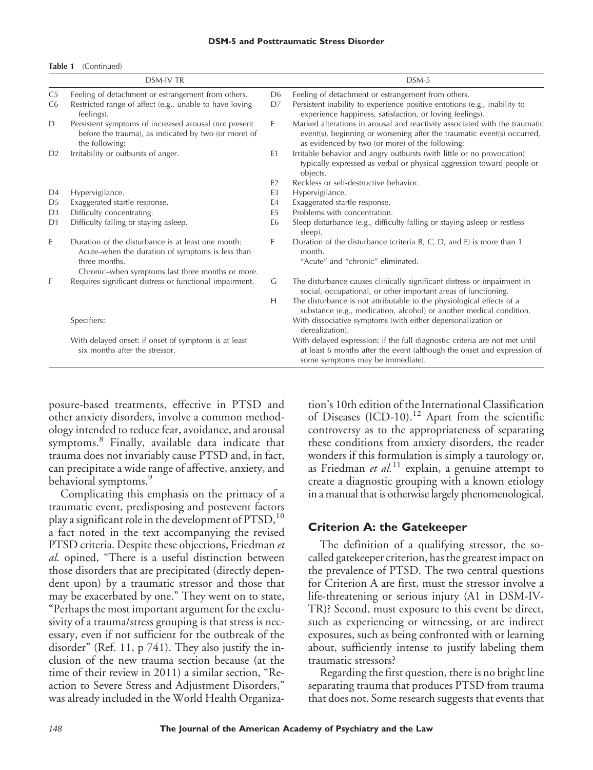#### **DSM-5 and Posttraumatic Stress Disorder**

#### **Table 1** (Continued)

| <b>DSM-IV TR</b> |                                                                                                                                 |                | DSM-5                                                                                                                                                                                                    |
|------------------|---------------------------------------------------------------------------------------------------------------------------------|----------------|----------------------------------------------------------------------------------------------------------------------------------------------------------------------------------------------------------|
| C <sub>5</sub>   | Feeling of detachment or estrangement from others.                                                                              | D <sub>6</sub> | Feeling of detachment or estrangement from others.                                                                                                                                                       |
| C <sub>6</sub>   | Restricted range of affect (e.g., unable to have loving<br>feelings).                                                           | D7             | Persistent inability to experience positive emotions (e.g., inability to<br>experience happiness, satisfaction, or loving feelings).                                                                     |
| D                | Persistent symptoms of increased arousal (not present<br>before the trauma), as indicated by two (or more) of<br>the following: | E.             | Marked alterations in arousal and reactivity associated with the traumatic<br>event(s), beginning or worsening after the traumatic event(s) occurred,<br>as evidenced by two (or more) of the following: |
| D <sub>2</sub>   | Irritability or outbursts of anger.                                                                                             | E1             | Irritable behavior and angry outbursts (with little or no provocation)<br>typically expressed as verbal or physical aggression toward people or<br>objects.                                              |
|                  |                                                                                                                                 | F <sub>2</sub> | Reckless or self-destructive behavior.                                                                                                                                                                   |
| D <sub>4</sub>   | Hypervigilance.                                                                                                                 | E <sub>3</sub> | Hypervigilance.                                                                                                                                                                                          |
| D <sub>5</sub>   | Exaggerated startle response.                                                                                                   | E4             | Exaggerated startle response.                                                                                                                                                                            |
| D <sub>3</sub>   | Difficulty concentrating.                                                                                                       | E <sub>5</sub> | Problems with concentration.                                                                                                                                                                             |
| D <sub>1</sub>   | Difficulty falling or staying asleep.                                                                                           | E <sub>6</sub> | Sleep disturbance (e.g., difficulty falling or staying asleep or restless<br>sleep).                                                                                                                     |
| E                | Duration of the disturbance is at least one month:<br>Acute-when the duration of symptoms is less than                          | F              | Duration of the disturbance (criteria B, C, D, and E) is more than 1<br>month.                                                                                                                           |
|                  | three months.                                                                                                                   |                | "Acute" and "chronic" eliminated.                                                                                                                                                                        |
|                  | Chronic–when symptoms last three months or more.                                                                                |                |                                                                                                                                                                                                          |
| F                | Requires significant distress or functional impairment.                                                                         | G              | The disturbance causes clinically significant distress or impairment in<br>social, occupational, or other important areas of functioning.                                                                |
|                  |                                                                                                                                 | Н              | The disturbance is not attributable to the physiological effects of a<br>substance (e.g., medication, alcohol) or another medical condition.                                                             |
|                  | Specifiers:                                                                                                                     |                | With dissociative symptoms (with either depersonalization or<br>derealization).                                                                                                                          |
|                  | With delayed onset: if onset of symptoms is at least<br>six months after the stressor.                                          |                | With delayed expression: if the full diagnostic criteria are not met until<br>at least 6 months after the event (although the onset and expression of<br>some symptoms may be immediate).                |

posure-based treatments, effective in PTSD and other anxiety disorders, involve a common methodology intended to reduce fear, avoidance, and arousal symptoms.<sup>8</sup> Finally, available data indicate that trauma does not invariably cause PTSD and, in fact, can precipitate a wide range of affective, anxiety, and behavioral symptoms.<sup>9</sup>

Complicating this emphasis on the primacy of a traumatic event, predisposing and postevent factors play a significant role in the development of  $PTSD$ ,  $^{10}$ a fact noted in the text accompanying the revised PTSD criteria. Despite these objections, Friedman *et al.* opined, "There is a useful distinction between those disorders that are precipitated (directly dependent upon) by a traumatic stressor and those that may be exacerbated by one." They went on to state, "Perhaps the most important argument for the exclusivity of a trauma/stress grouping is that stress is necessary, even if not sufficient for the outbreak of the disorder" (Ref. 11, p 741). They also justify the inclusion of the new trauma section because (at the time of their review in 2011) a similar section, "Reaction to Severe Stress and Adjustment Disorders," was already included in the World Health Organiza-

tion's 10th edition of the International Classification of Diseases  $(ICD-10).<sup>12</sup>$  Apart from the scientific controversy as to the appropriateness of separating these conditions from anxiety disorders, the reader wonders if this formulation is simply a tautology or, as Friedman *et al.*<sup>11</sup> explain, a genuine attempt to create a diagnostic grouping with a known etiology in a manual that is otherwise largely phenomenological.

#### **Criterion A: the Gatekeeper**

The definition of a qualifying stressor, the socalled gatekeeper criterion, has the greatest impact on the prevalence of PTSD. The two central questions for Criterion A are first, must the stressor involve a life-threatening or serious injury (A1 in DSM-IV-TR)? Second, must exposure to this event be direct, such as experiencing or witnessing, or are indirect exposures, such as being confronted with or learning about, sufficiently intense to justify labeling them traumatic stressors?

Regarding the first question, there is no bright line separating trauma that produces PTSD from trauma that does not. Some research suggests that events that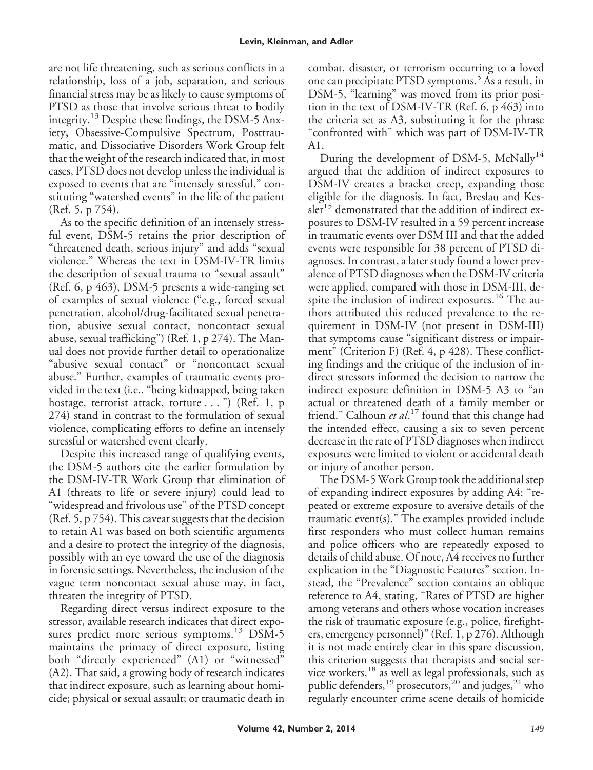are not life threatening, such as serious conflicts in a relationship, loss of a job, separation, and serious financial stress may be as likely to cause symptoms of PTSD as those that involve serious threat to bodily integrity.<sup>13</sup> Despite these findings, the DSM-5 Anxiety, Obsessive-Compulsive Spectrum, Posttraumatic, and Dissociative Disorders Work Group felt that the weight of the research indicated that, in most cases, PTSD does not develop unless the individual is exposed to events that are "intensely stressful," constituting "watershed events" in the life of the patient (Ref. 5, p 754).

As to the specific definition of an intensely stressful event, DSM-5 retains the prior description of "threatened death, serious injury" and adds "sexual violence." Whereas the text in DSM-IV-TR limits the description of sexual trauma to "sexual assault" (Ref. 6, p 463), DSM-5 presents a wide-ranging set of examples of sexual violence ("e.g., forced sexual penetration, alcohol/drug-facilitated sexual penetration, abusive sexual contact, noncontact sexual abuse, sexual trafficking") (Ref. 1, p 274). The Manual does not provide further detail to operationalize "abusive sexual contact" or "noncontact sexual abuse." Further, examples of traumatic events provided in the text (i.e., "being kidnapped, being taken hostage, terrorist attack, torture . . . ") (Ref. 1, p 274) stand in contrast to the formulation of sexual violence, complicating efforts to define an intensely stressful or watershed event clearly.

Despite this increased range of qualifying events, the DSM-5 authors cite the earlier formulation by the DSM-IV-TR Work Group that elimination of A1 (threats to life or severe injury) could lead to "widespread and frivolous use" of the PTSD concept (Ref. 5, p 754). This caveat suggests that the decision to retain A1 was based on both scientific arguments and a desire to protect the integrity of the diagnosis, possibly with an eye toward the use of the diagnosis in forensic settings. Nevertheless, the inclusion of the vague term noncontact sexual abuse may, in fact, threaten the integrity of PTSD.

Regarding direct versus indirect exposure to the stressor, available research indicates that direct exposures predict more serious symptoms.<sup>13</sup> DSM-5 maintains the primacy of direct exposure, listing both "directly experienced" (A1) or "witnessed" (A2). That said, a growing body of research indicates that indirect exposure, such as learning about homicide; physical or sexual assault; or traumatic death in combat, disaster, or terrorism occurring to a loved one can precipitate PTSD symptoms.<sup>5</sup> As a result, in DSM-5, "learning" was moved from its prior position in the text of DSM-IV-TR (Ref. 6, p 463) into the criteria set as A3, substituting it for the phrase "confronted with" which was part of DSM-IV-TR A1.

During the development of DSM-5, McNally<sup>14</sup> argued that the addition of indirect exposures to DSM-IV creates a bracket creep, expanding those eligible for the diagnosis. In fact, Breslau and Kessler<sup>15</sup> demonstrated that the addition of indirect exposures to DSM-IV resulted in a 59 percent increase in traumatic events over DSM III and that the added events were responsible for 38 percent of PTSD diagnoses. In contrast, a later study found a lower prevalence of PTSD diagnoses when the DSM-IV criteria were applied, compared with those in DSM-III, despite the inclusion of indirect exposures.<sup>16</sup> The authors attributed this reduced prevalence to the requirement in DSM-IV (not present in DSM-III) that symptoms cause "significant distress or impairment" (Criterion F) (Ref. 4, p 428). These conflicting findings and the critique of the inclusion of indirect stressors informed the decision to narrow the indirect exposure definition in DSM-5 A3 to "an actual or threatened death of a family member or friend." Calhoun *et al.*<sup>17</sup> found that this change had the intended effect, causing a six to seven percent decrease in the rate of PTSD diagnoses when indirect exposures were limited to violent or accidental death or injury of another person.

The DSM-5 Work Group took the additional step of expanding indirect exposures by adding A4: "repeated or extreme exposure to aversive details of the traumatic event(s)." The examples provided include first responders who must collect human remains and police officers who are repeatedly exposed to details of child abuse. Of note, A4 receives no further explication in the "Diagnostic Features" section. Instead, the "Prevalence" section contains an oblique reference to A4, stating, "Rates of PTSD are higher among veterans and others whose vocation increases the risk of traumatic exposure (e.g., police, firefighters, emergency personnel)" (Ref. 1, p 276). Although it is not made entirely clear in this spare discussion, this criterion suggests that therapists and social service workers,<sup>18</sup> as well as legal professionals, such as public defenders,<sup>19</sup> prosecutors,<sup>20</sup> and judges,<sup>21</sup> who regularly encounter crime scene details of homicide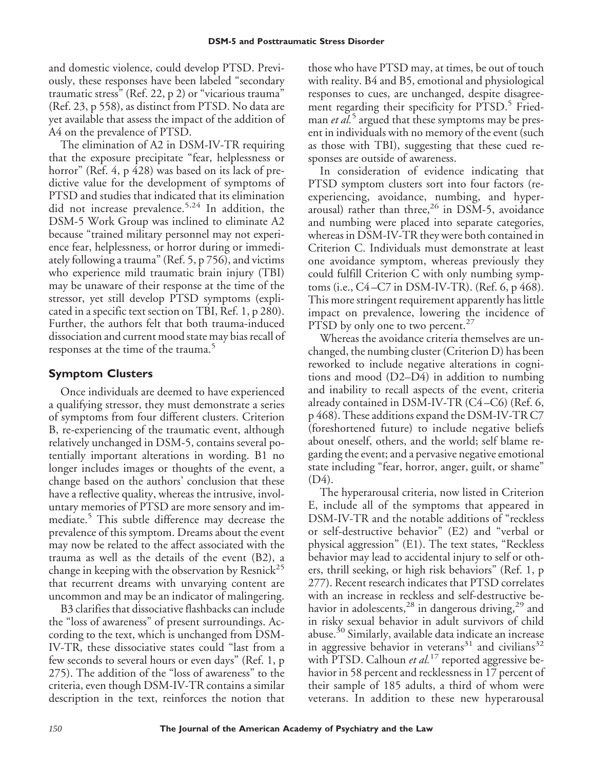and domestic violence, could develop PTSD. Previously, these responses have been labeled "secondary traumatic stress" (Ref. 22, p 2) or "vicarious trauma" (Ref. 23, p 558), as distinct from PTSD. No data are yet available that assess the impact of the addition of A4 on the prevalence of PTSD.

The elimination of A2 in DSM-IV-TR requiring that the exposure precipitate "fear, helplessness or horror" (Ref. 4, p 428) was based on its lack of predictive value for the development of symptoms of PTSD and studies that indicated that its elimination did not increase prevalence.5,24 In addition, the DSM-5 Work Group was inclined to eliminate A2 because "trained military personnel may not experience fear, helplessness, or horror during or immediately following a trauma" (Ref. 5, p 756), and victims who experience mild traumatic brain injury (TBI) may be unaware of their response at the time of the stressor, yet still develop PTSD symptoms (explicated in a specific text section on TBI, Ref. 1, p 280). Further, the authors felt that both trauma-induced dissociation and current mood state may bias recall of responses at the time of the trauma.<sup>5</sup>

## **Symptom Clusters**

Once individuals are deemed to have experienced a qualifying stressor, they must demonstrate a series of symptoms from four different clusters. Criterion B, re-experiencing of the traumatic event, although relatively unchanged in DSM-5, contains several potentially important alterations in wording. B1 no longer includes images or thoughts of the event, a change based on the authors' conclusion that these have a reflective quality, whereas the intrusive, involuntary memories of PTSD are more sensory and immediate.<sup>5</sup> This subtle difference may decrease the prevalence of this symptom. Dreams about the event may now be related to the affect associated with the trauma as well as the details of the event (B2), a change in keeping with the observation by Resnick<sup>25</sup> that recurrent dreams with unvarying content are uncommon and may be an indicator of malingering.

B3 clarifies that dissociative flashbacks can include the "loss of awareness" of present surroundings. According to the text, which is unchanged from DSM-IV-TR, these dissociative states could "last from a few seconds to several hours or even days" (Ref. 1, p 275). The addition of the "loss of awareness" to the criteria, even though DSM-IV-TR contains a similar description in the text, reinforces the notion that those who have PTSD may, at times, be out of touch with reality. B4 and B5, emotional and physiological responses to cues, are unchanged, despite disagreement regarding their specificity for PTSD.<sup>5</sup> Friedman *et al.*<sup>5</sup> argued that these symptoms may be present in individuals with no memory of the event (such as those with TBI), suggesting that these cued responses are outside of awareness.

In consideration of evidence indicating that PTSD symptom clusters sort into four factors (reexperiencing, avoidance, numbing, and hyperarousal) rather than three,<sup>26</sup> in DSM-5, avoidance and numbing were placed into separate categories, whereas in DSM-IV-TR they were both contained in Criterion C. Individuals must demonstrate at least one avoidance symptom, whereas previously they could fulfill Criterion C with only numbing symptoms (i.e., C4 –C7 in DSM-IV-TR). (Ref. 6, p 468). This more stringent requirement apparently has little impact on prevalence, lowering the incidence of PTSD by only one to two percent. $27$ 

Whereas the avoidance criteria themselves are unchanged, the numbing cluster (Criterion D) has been reworked to include negative alterations in cognitions and mood (D2–D4) in addition to numbing and inability to recall aspects of the event, criteria already contained in DSM-IV-TR (C4 –C6) (Ref. 6, p 468). These additions expand the DSM-IV-TR C7 (foreshortened future) to include negative beliefs about oneself, others, and the world; self blame regarding the event; and a pervasive negative emotional state including "fear, horror, anger, guilt, or shame" (D4).

The hyperarousal criteria, now listed in Criterion E, include all of the symptoms that appeared in DSM-IV-TR and the notable additions of "reckless or self-destructive behavior" (E2) and "verbal or physical aggression" (E1). The text states, "Reckless behavior may lead to accidental injury to self or others, thrill seeking, or high risk behaviors" (Ref. 1, p 277). Recent research indicates that PTSD correlates with an increase in reckless and self-destructive behavior in adolescents,<sup>28</sup> in dangerous driving,<sup>29</sup> and in risky sexual behavior in adult survivors of child abuse.<sup>30</sup> Similarly, available data indicate an increase in aggressive behavior in veterans<sup>31</sup> and civilians<sup>32</sup> with PTSD. Calhoun *et al.*<sup>17</sup> reported aggressive behavior in 58 percent and recklessness in 17 percent of their sample of 185 adults, a third of whom were veterans. In addition to these new hyperarousal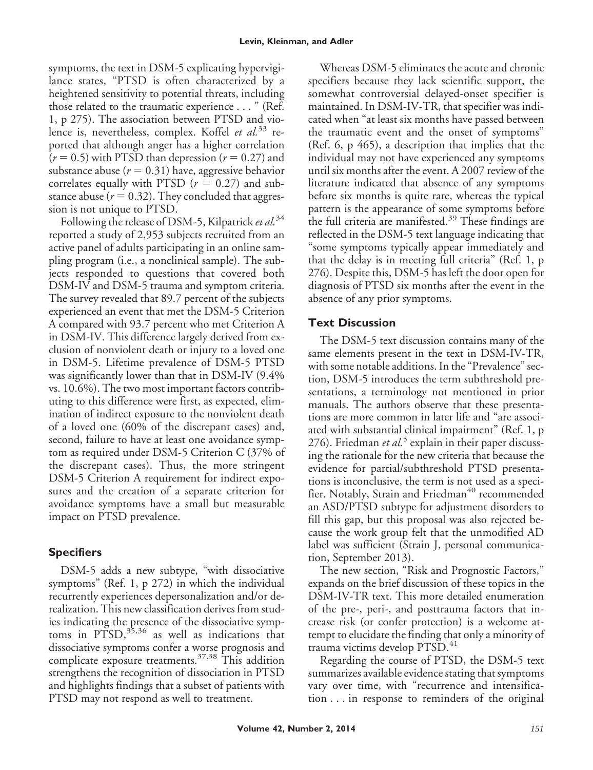symptoms, the text in DSM-5 explicating hypervigilance states, "PTSD is often characterized by a heightened sensitivity to potential threats, including those related to the traumatic experience..." (Ref. 1, p 275). The association between PTSD and violence is, nevertheless, complex. Koffel *et al.*<sup>33</sup> reported that although anger has a higher correlation  $(r = 0.5)$  with PTSD than depression  $(r = 0.27)$  and substance abuse ( $r = 0.31$ ) have, aggressive behavior correlates equally with PTSD  $(r = 0.27)$  and substance abuse ( $r = 0.32$ ). They concluded that aggression is not unique to PTSD.

Following the release of DSM-5, Kilpatrick *et al.*<sup>34</sup> reported a study of 2,953 subjects recruited from an active panel of adults participating in an online sampling program (i.e., a nonclinical sample). The subjects responded to questions that covered both DSM-IV and DSM-5 trauma and symptom criteria. The survey revealed that 89.7 percent of the subjects experienced an event that met the DSM-5 Criterion A compared with 93.7 percent who met Criterion A in DSM-IV. This difference largely derived from exclusion of nonviolent death or injury to a loved one in DSM-5. Lifetime prevalence of DSM-5 PTSD was significantly lower than that in DSM-IV (9.4% vs. 10.6%). The two most important factors contributing to this difference were first, as expected, elimination of indirect exposure to the nonviolent death of a loved one (60% of the discrepant cases) and, second, failure to have at least one avoidance symptom as required under DSM-5 Criterion C (37% of the discrepant cases). Thus, the more stringent DSM-5 Criterion A requirement for indirect exposures and the creation of a separate criterion for avoidance symptoms have a small but measurable impact on PTSD prevalence.

# **Specifiers**

DSM-5 adds a new subtype, "with dissociative symptoms" (Ref. 1, p 272) in which the individual recurrently experiences depersonalization and/or derealization. This new classification derives from studies indicating the presence of the dissociative symptoms in  $\text{PTSD},^{35,36}$  as well as indications that dissociative symptoms confer a worse prognosis and complicate exposure treatments.37,38 This addition strengthens the recognition of dissociation in PTSD and highlights findings that a subset of patients with PTSD may not respond as well to treatment.

Whereas DSM-5 eliminates the acute and chronic specifiers because they lack scientific support, the somewhat controversial delayed-onset specifier is maintained. In DSM-IV-TR, that specifier was indicated when "at least six months have passed between the traumatic event and the onset of symptoms" (Ref. 6, p 465), a description that implies that the individual may not have experienced any symptoms until six months after the event. A 2007 review of the literature indicated that absence of any symptoms before six months is quite rare, whereas the typical pattern is the appearance of some symptoms before the full criteria are manifested.<sup>39</sup> These findings are reflected in the DSM-5 text language indicating that "some symptoms typically appear immediately and that the delay is in meeting full criteria" (Ref. 1, p 276). Despite this, DSM-5 has left the door open for diagnosis of PTSD six months after the event in the absence of any prior symptoms.

# **Text Discussion**

The DSM-5 text discussion contains many of the same elements present in the text in DSM-IV-TR, with some notable additions. In the "Prevalence" section, DSM-5 introduces the term subthreshold presentations, a terminology not mentioned in prior manuals. The authors observe that these presentations are more common in later life and "are associated with substantial clinical impairment" (Ref. 1, p 276). Friedman et al.<sup>5</sup> explain in their paper discussing the rationale for the new criteria that because the evidence for partial/subthreshold PTSD presentations is inconclusive, the term is not used as a specifier. Notably, Strain and Friedman<sup>40</sup> recommended an ASD/PTSD subtype for adjustment disorders to fill this gap, but this proposal was also rejected because the work group felt that the unmodified AD label was sufficient (Strain J, personal communication, September 2013).

The new section, "Risk and Prognostic Factors," expands on the brief discussion of these topics in the DSM-IV-TR text. This more detailed enumeration of the pre-, peri-, and posttrauma factors that increase risk (or confer protection) is a welcome attempt to elucidate the finding that only a minority of trauma victims develop PTSD.<sup>41</sup>

Regarding the course of PTSD, the DSM-5 text summarizes available evidence stating that symptoms vary over time, with "recurrence and intensification . . . in response to reminders of the original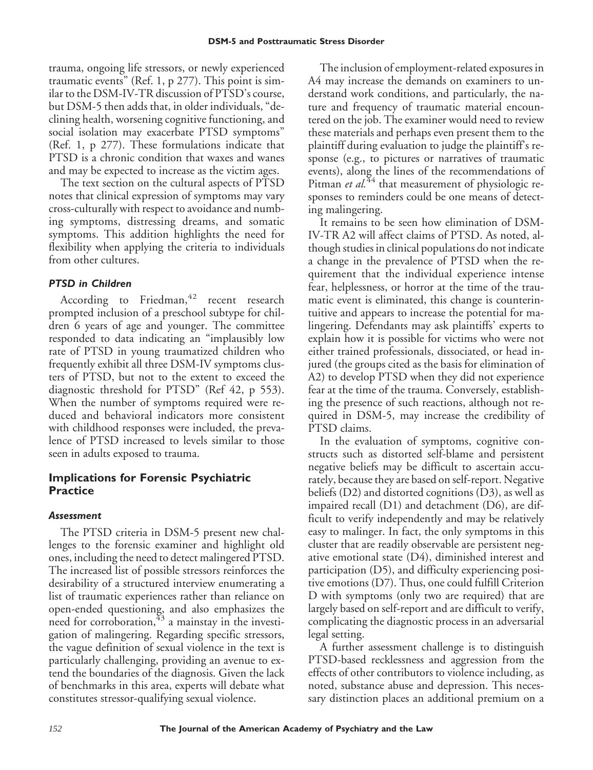trauma, ongoing life stressors, or newly experienced traumatic events" (Ref. 1, p 277). This point is similar to the DSM-IV-TR discussion of PTSD's course, but DSM-5 then adds that, in older individuals, "declining health, worsening cognitive functioning, and social isolation may exacerbate PTSD symptoms" (Ref. 1, p 277). These formulations indicate that PTSD is a chronic condition that waxes and wanes and may be expected to increase as the victim ages.

The text section on the cultural aspects of PTSD notes that clinical expression of symptoms may vary cross-culturally with respect to avoidance and numbing symptoms, distressing dreams, and somatic symptoms. This addition highlights the need for flexibility when applying the criteria to individuals from other cultures.

## *PTSD in Children*

According to Friedman,  $42$  recent research prompted inclusion of a preschool subtype for children 6 years of age and younger. The committee responded to data indicating an "implausibly low rate of PTSD in young traumatized children who frequently exhibit all three DSM-IV symptoms clusters of PTSD, but not to the extent to exceed the diagnostic threshold for PTSD" (Ref 42, p 553). When the number of symptoms required were reduced and behavioral indicators more consistent with childhood responses were included, the prevalence of PTSD increased to levels similar to those seen in adults exposed to trauma.

# **Implications for Forensic Psychiatric Practice**

## *Assessment*

The PTSD criteria in DSM-5 present new challenges to the forensic examiner and highlight old ones, including the need to detect malingered PTSD. The increased list of possible stressors reinforces the desirability of a structured interview enumerating a list of traumatic experiences rather than reliance on open-ended questioning, and also emphasizes the need for corroboration,  $43$  a mainstay in the investigation of malingering. Regarding specific stressors, the vague definition of sexual violence in the text is particularly challenging, providing an avenue to extend the boundaries of the diagnosis. Given the lack of benchmarks in this area, experts will debate what constitutes stressor-qualifying sexual violence.

The inclusion of employment-related exposures in A4 may increase the demands on examiners to understand work conditions, and particularly, the nature and frequency of traumatic material encountered on the job. The examiner would need to review these materials and perhaps even present them to the plaintiff during evaluation to judge the plaintiff's response (e.g., to pictures or narratives of traumatic events), along the lines of the recommendations of Pitman *et al.*<sup>44</sup> that measurement of physiologic responses to reminders could be one means of detecting malingering.

It remains to be seen how elimination of DSM-IV-TR A2 will affect claims of PTSD. As noted, although studies in clinical populations do not indicate a change in the prevalence of PTSD when the requirement that the individual experience intense fear, helplessness, or horror at the time of the traumatic event is eliminated, this change is counterintuitive and appears to increase the potential for malingering. Defendants may ask plaintiffs' experts to explain how it is possible for victims who were not either trained professionals, dissociated, or head injured (the groups cited as the basis for elimination of A2) to develop PTSD when they did not experience fear at the time of the trauma. Conversely, establishing the presence of such reactions, although not required in DSM-5, may increase the credibility of PTSD claims.

In the evaluation of symptoms, cognitive constructs such as distorted self-blame and persistent negative beliefs may be difficult to ascertain accurately, because they are based on self-report. Negative beliefs (D2) and distorted cognitions (D3), as well as impaired recall (D1) and detachment (D6), are difficult to verify independently and may be relatively easy to malinger. In fact, the only symptoms in this cluster that are readily observable are persistent negative emotional state (D4), diminished interest and participation (D5), and difficulty experiencing positive emotions (D7). Thus, one could fulfill Criterion D with symptoms (only two are required) that are largely based on self-report and are difficult to verify, complicating the diagnostic process in an adversarial legal setting.

A further assessment challenge is to distinguish PTSD-based recklessness and aggression from the effects of other contributors to violence including, as noted, substance abuse and depression. This necessary distinction places an additional premium on a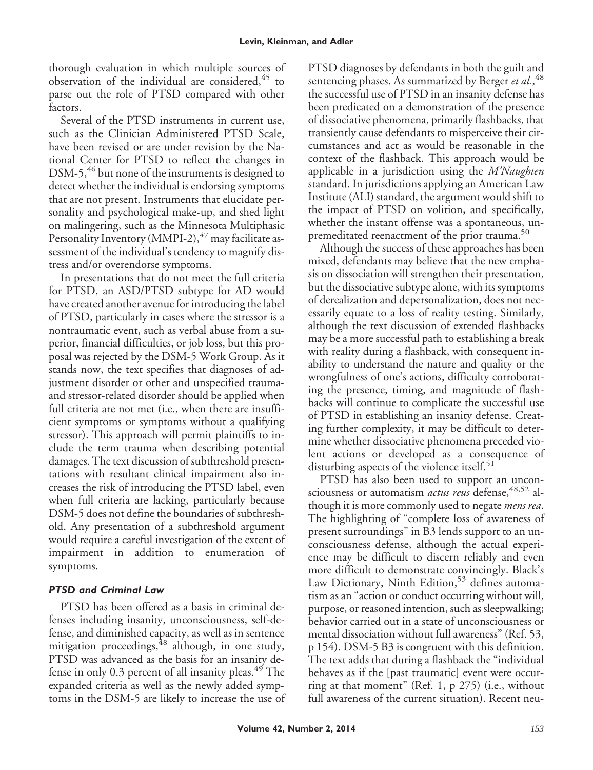thorough evaluation in which multiple sources of observation of the individual are considered,  $45$  to parse out the role of PTSD compared with other factors.

Several of the PTSD instruments in current use, such as the Clinician Administered PTSD Scale, have been revised or are under revision by the National Center for PTSD to reflect the changes in DSM-5,<sup>46</sup> but none of the instruments is designed to detect whether the individual is endorsing symptoms that are not present. Instruments that elucidate personality and psychological make-up, and shed light on malingering, such as the Minnesota Multiphasic Personality Inventory (MMPI-2), $47$  may facilitate assessment of the individual's tendency to magnify distress and/or overendorse symptoms.

In presentations that do not meet the full criteria for PTSD, an ASD/PTSD subtype for AD would have created another avenue for introducing the label of PTSD, particularly in cases where the stressor is a nontraumatic event, such as verbal abuse from a superior, financial difficulties, or job loss, but this proposal was rejected by the DSM-5 Work Group. As it stands now, the text specifies that diagnoses of adjustment disorder or other and unspecified traumaand stressor-related disorder should be applied when full criteria are not met (i.e., when there are insufficient symptoms or symptoms without a qualifying stressor). This approach will permit plaintiffs to include the term trauma when describing potential damages. The text discussion of subthreshold presentations with resultant clinical impairment also increases the risk of introducing the PTSD label, even when full criteria are lacking, particularly because DSM-5 does not define the boundaries of subthreshold. Any presentation of a subthreshold argument would require a careful investigation of the extent of impairment in addition to enumeration of symptoms.

## *PTSD and Criminal Law*

PTSD has been offered as a basis in criminal defenses including insanity, unconsciousness, self-defense, and diminished capacity, as well as in sentence mitigation proceedings,  $48$  although, in one study, PTSD was advanced as the basis for an insanity defense in only 0.3 percent of all insanity pleas. $49$  The expanded criteria as well as the newly added symptoms in the DSM-5 are likely to increase the use of PTSD diagnoses by defendants in both the guilt and sentencing phases. As summarized by Berger *et al.*, 48 the successful use of PTSD in an insanity defense has been predicated on a demonstration of the presence of dissociative phenomena, primarily flashbacks, that transiently cause defendants to misperceive their circumstances and act as would be reasonable in the context of the flashback. This approach would be applicable in a jurisdiction using the *M'Naughten* standard. In jurisdictions applying an American Law Institute (ALI) standard, the argument would shift to the impact of PTSD on volition, and specifically, whether the instant offense was a spontaneous, unpremeditated reenactment of the prior trauma.<sup>50</sup>

Although the success of these approaches has been mixed, defendants may believe that the new emphasis on dissociation will strengthen their presentation, but the dissociative subtype alone, with its symptoms of derealization and depersonalization, does not necessarily equate to a loss of reality testing. Similarly, although the text discussion of extended flashbacks may be a more successful path to establishing a break with reality during a flashback, with consequent inability to understand the nature and quality or the wrongfulness of one's actions, difficulty corroborating the presence, timing, and magnitude of flashbacks will continue to complicate the successful use of PTSD in establishing an insanity defense. Creating further complexity, it may be difficult to determine whether dissociative phenomena preceded violent actions or developed as a consequence of disturbing aspects of the violence itself.<sup>51</sup>

PTSD has also been used to support an unconsciousness or automatism *actus reus* defense,<sup>48,52</sup> although it is more commonly used to negate *mens rea*. The highlighting of "complete loss of awareness of present surroundings" in B3 lends support to an unconsciousness defense, although the actual experience may be difficult to discern reliably and even more difficult to demonstrate convincingly. Black's Law Dictionary, Ninth Edition,<sup>53</sup> defines automatism as an "action or conduct occurring without will, purpose, or reasoned intention, such as sleepwalking; behavior carried out in a state of unconsciousness or mental dissociation without full awareness" (Ref. 53, p 154). DSM-5 B3 is congruent with this definition. The text adds that during a flashback the "individual behaves as if the [past traumatic] event were occurring at that moment" (Ref. 1, p 275) (i.e., without full awareness of the current situation). Recent neu-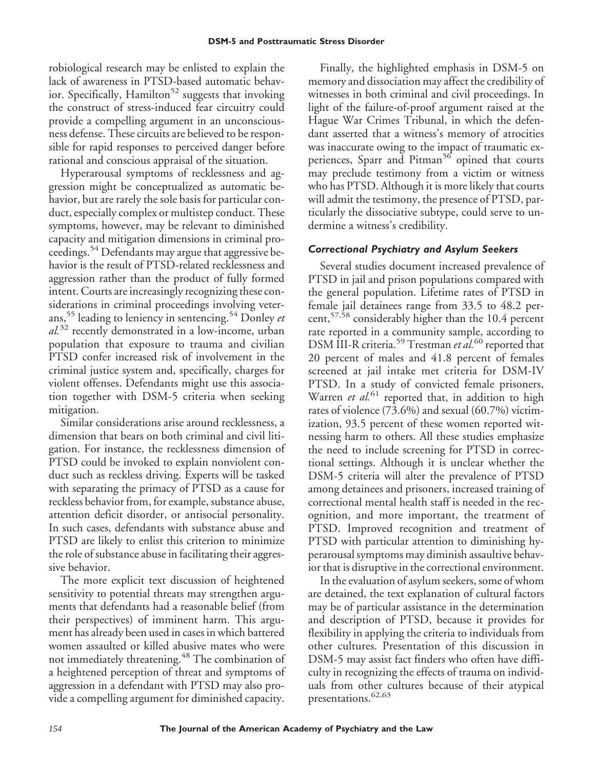robiological research may be enlisted to explain the lack of awareness in PTSD-based automatic behavior. Specifically, Hamilton<sup>52</sup> suggests that invoking the construct of stress-induced fear circuitry could provide a compelling argument in an unconsciousness defense. These circuits are believed to be responsible for rapid responses to perceived danger before rational and conscious appraisal of the situation.

Hyperarousal symptoms of recklessness and aggression might be conceptualized as automatic behavior, but are rarely the sole basis for particular conduct, especially complex or multistep conduct. These symptoms, however, may be relevant to diminished capacity and mitigation dimensions in criminal proceedings.<sup>54</sup> Defendants may argue that aggressive behavior is the result of PTSD-related recklessness and aggression rather than the product of fully formed intent. Courts are increasingly recognizing these considerations in criminal proceedings involving veterans,<sup>55</sup> leading to leniency in sentencing.<sup>54</sup> Donley *et al.*<sup>32</sup> recently demonstrated in a low-income, urban population that exposure to trauma and civilian PTSD confer increased risk of involvement in the criminal justice system and, specifically, charges for violent offenses. Defendants might use this association together with DSM-5 criteria when seeking mitigation.

Similar considerations arise around recklessness, a dimension that bears on both criminal and civil litigation. For instance, the recklessness dimension of PTSD could be invoked to explain nonviolent conduct such as reckless driving. Experts will be tasked with separating the primacy of PTSD as a cause for reckless behavior from, for example, substance abuse, attention deficit disorder, or antisocial personality. In such cases, defendants with substance abuse and PTSD are likely to enlist this criterion to minimize the role of substance abuse in facilitating their aggressive behavior.

The more explicit text discussion of heightened sensitivity to potential threats may strengthen arguments that defendants had a reasonable belief (from their perspectives) of imminent harm. This argument has already been used in cases in which battered women assaulted or killed abusive mates who were not immediately threatening.<sup>48</sup> The combination of a heightened perception of threat and symptoms of aggression in a defendant with PTSD may also provide a compelling argument for diminished capacity.

Finally, the highlighted emphasis in DSM-5 on memory and dissociation may affect the credibility of witnesses in both criminal and civil proceedings. In light of the failure-of-proof argument raised at the Hague War Crimes Tribunal, in which the defendant asserted that a witness's memory of atrocities was inaccurate owing to the impact of traumatic experiences, Sparr and Pitman<sup>56</sup> opined that courts may preclude testimony from a victim or witness who has PTSD. Although it is more likely that courts will admit the testimony, the presence of PTSD, particularly the dissociative subtype, could serve to undermine a witness's credibility.

## *Correctional Psychiatry and Asylum Seekers*

Several studies document increased prevalence of PTSD in jail and prison populations compared with the general population. Lifetime rates of PTSD in female jail detainees range from 33.5 to 48.2 percent,57,58 considerably higher than the 10.4 percent rate reported in a community sample, according to DSM III-R criteria.<sup>59</sup> Trestman *et al.*<sup>60</sup> reported that 20 percent of males and 41.8 percent of females screened at jail intake met criteria for DSM-IV PTSD. In a study of convicted female prisoners, Warren *et al.*<sup>61</sup> reported that, in addition to high rates of violence (73.6%) and sexual (60.7%) victimization, 93.5 percent of these women reported witnessing harm to others. All these studies emphasize the need to include screening for PTSD in correctional settings. Although it is unclear whether the DSM-5 criteria will alter the prevalence of PTSD among detainees and prisoners, increased training of correctional mental health staff is needed in the recognition, and more important, the treatment of PTSD. Improved recognition and treatment of PTSD with particular attention to diminishing hyperarousal symptoms may diminish assaultive behavior that is disruptive in the correctional environment.

In the evaluation of asylum seekers, some of whom are detained, the text explanation of cultural factors may be of particular assistance in the determination and description of PTSD, because it provides for flexibility in applying the criteria to individuals from other cultures. Presentation of this discussion in DSM-5 may assist fact finders who often have difficulty in recognizing the effects of trauma on individuals from other cultures because of their atypical presentations.<sup>62,63</sup>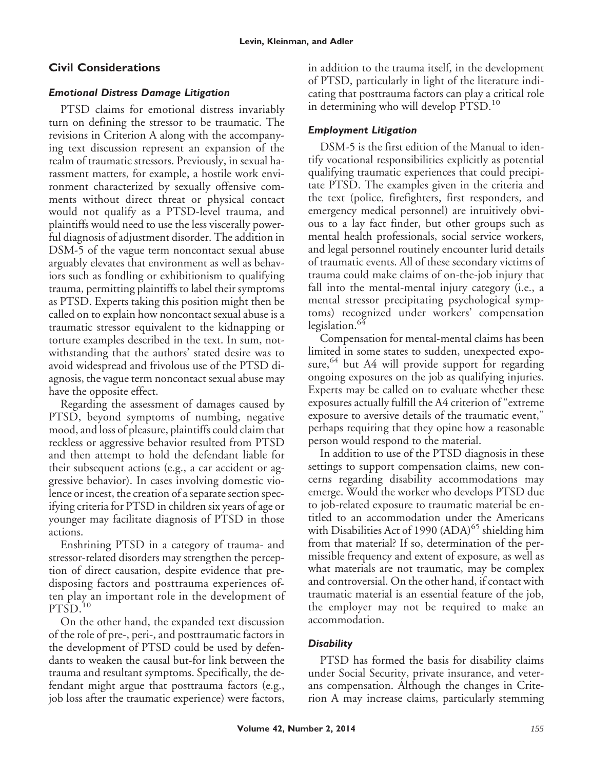# **Civil Considerations**

## *Emotional Distress Damage Litigation*

PTSD claims for emotional distress invariably turn on defining the stressor to be traumatic. The revisions in Criterion A along with the accompanying text discussion represent an expansion of the realm of traumatic stressors. Previously, in sexual harassment matters, for example, a hostile work environment characterized by sexually offensive comments without direct threat or physical contact would not qualify as a PTSD-level trauma, and plaintiffs would need to use the less viscerally powerful diagnosis of adjustment disorder. The addition in DSM-5 of the vague term noncontact sexual abuse arguably elevates that environment as well as behaviors such as fondling or exhibitionism to qualifying trauma, permitting plaintiffs to label their symptoms as PTSD. Experts taking this position might then be called on to explain how noncontact sexual abuse is a traumatic stressor equivalent to the kidnapping or torture examples described in the text. In sum, notwithstanding that the authors' stated desire was to avoid widespread and frivolous use of the PTSD diagnosis, the vague term noncontact sexual abuse may have the opposite effect.

Regarding the assessment of damages caused by PTSD, beyond symptoms of numbing, negative mood, and loss of pleasure, plaintiffs could claim that reckless or aggressive behavior resulted from PTSD and then attempt to hold the defendant liable for their subsequent actions (e.g., a car accident or aggressive behavior). In cases involving domestic violence or incest, the creation of a separate section specifying criteria for PTSD in children six years of age or younger may facilitate diagnosis of PTSD in those actions.

Enshrining PTSD in a category of trauma- and stressor-related disorders may strengthen the perception of direct causation, despite evidence that predisposing factors and posttrauma experiences often play an important role in the development of  $PTSD.<sup>10</sup>$ 

On the other hand, the expanded text discussion of the role of pre-, peri-, and posttraumatic factors in the development of PTSD could be used by defendants to weaken the causal but-for link between the trauma and resultant symptoms. Specifically, the defendant might argue that posttrauma factors (e.g., job loss after the traumatic experience) were factors,

in addition to the trauma itself, in the development of PTSD, particularly in light of the literature indicating that posttrauma factors can play a critical role in determining who will develop PTSD.<sup>10</sup>

# *Employment Litigation*

DSM-5 is the first edition of the Manual to identify vocational responsibilities explicitly as potential qualifying traumatic experiences that could precipitate PTSD. The examples given in the criteria and the text (police, firefighters, first responders, and emergency medical personnel) are intuitively obvious to a lay fact finder, but other groups such as mental health professionals, social service workers, and legal personnel routinely encounter lurid details of traumatic events. All of these secondary victims of trauma could make claims of on-the-job injury that fall into the mental-mental injury category (i.e., a mental stressor precipitating psychological symptoms) recognized under workers' compensation legislation.<sup>64</sup>

Compensation for mental-mental claims has been limited in some states to sudden, unexpected exposure,  $64$  but A4 will provide support for regarding ongoing exposures on the job as qualifying injuries. Experts may be called on to evaluate whether these exposures actually fulfill the A4 criterion of "extreme exposure to aversive details of the traumatic event," perhaps requiring that they opine how a reasonable person would respond to the material.

In addition to use of the PTSD diagnosis in these settings to support compensation claims, new concerns regarding disability accommodations may emerge. Would the worker who develops PTSD due to job-related exposure to traumatic material be entitled to an accommodation under the Americans with Disabilities Act of 1990  $(ADA)^{65}$  shielding him from that material? If so, determination of the permissible frequency and extent of exposure, as well as what materials are not traumatic, may be complex and controversial. On the other hand, if contact with traumatic material is an essential feature of the job, the employer may not be required to make an accommodation.

# *Disability*

PTSD has formed the basis for disability claims under Social Security, private insurance, and veterans compensation. Although the changes in Criterion A may increase claims, particularly stemming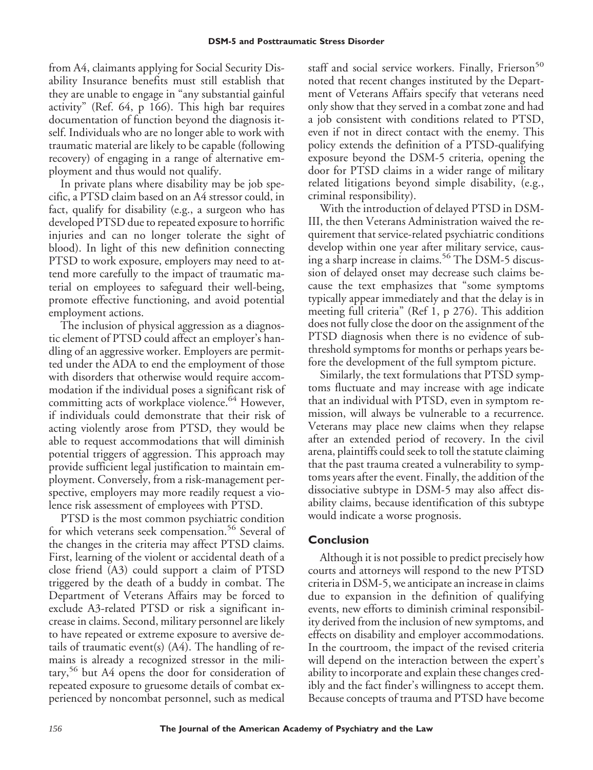from A4, claimants applying for Social Security Disability Insurance benefits must still establish that they are unable to engage in "any substantial gainful activity" (Ref. 64, p 166). This high bar requires documentation of function beyond the diagnosis itself. Individuals who are no longer able to work with traumatic material are likely to be capable (following recovery) of engaging in a range of alternative employment and thus would not qualify.

In private plans where disability may be job specific, a PTSD claim based on an A4 stressor could, in fact, qualify for disability (e.g., a surgeon who has developed PTSD due to repeated exposure to horrific injuries and can no longer tolerate the sight of blood). In light of this new definition connecting PTSD to work exposure, employers may need to attend more carefully to the impact of traumatic material on employees to safeguard their well-being, promote effective functioning, and avoid potential employment actions.

The inclusion of physical aggression as a diagnostic element of PTSD could affect an employer's handling of an aggressive worker. Employers are permitted under the ADA to end the employment of those with disorders that otherwise would require accommodation if the individual poses a significant risk of committing acts of workplace violence.<sup>64</sup> However, if individuals could demonstrate that their risk of acting violently arose from PTSD, they would be able to request accommodations that will diminish potential triggers of aggression. This approach may provide sufficient legal justification to maintain employment. Conversely, from a risk-management perspective, employers may more readily request a violence risk assessment of employees with PTSD.

PTSD is the most common psychiatric condition for which veterans seek compensation.<sup>56</sup> Several of the changes in the criteria may affect PTSD claims. First, learning of the violent or accidental death of a close friend (A3) could support a claim of PTSD triggered by the death of a buddy in combat. The Department of Veterans Affairs may be forced to exclude A3-related PTSD or risk a significant increase in claims. Second, military personnel are likely to have repeated or extreme exposure to aversive details of traumatic event(s) (A4). The handling of remains is already a recognized stressor in the military,<sup>56</sup> but A4 opens the door for consideration of repeated exposure to gruesome details of combat experienced by noncombat personnel, such as medical staff and social service workers. Finally, Frierson<sup>50</sup> noted that recent changes instituted by the Department of Veterans Affairs specify that veterans need only show that they served in a combat zone and had a job consistent with conditions related to PTSD, even if not in direct contact with the enemy. This policy extends the definition of a PTSD-qualifying exposure beyond the DSM-5 criteria, opening the door for PTSD claims in a wider range of military related litigations beyond simple disability, (e.g., criminal responsibility).

With the introduction of delayed PTSD in DSM-III, the then Veterans Administration waived the requirement that service-related psychiatric conditions develop within one year after military service, causing a sharp increase in claims.<sup>56</sup> The DSM-5 discussion of delayed onset may decrease such claims because the text emphasizes that "some symptoms typically appear immediately and that the delay is in meeting full criteria" (Ref 1, p 276). This addition does not fully close the door on the assignment of the PTSD diagnosis when there is no evidence of subthreshold symptoms for months or perhaps years before the development of the full symptom picture.

Similarly, the text formulations that PTSD symptoms fluctuate and may increase with age indicate that an individual with PTSD, even in symptom remission, will always be vulnerable to a recurrence. Veterans may place new claims when they relapse after an extended period of recovery. In the civil arena, plaintiffs could seek to toll the statute claiming that the past trauma created a vulnerability to symptoms years after the event. Finally, the addition of the dissociative subtype in DSM-5 may also affect disability claims, because identification of this subtype would indicate a worse prognosis.

# **Conclusion**

Although it is not possible to predict precisely how courts and attorneys will respond to the new PTSD criteria in DSM-5, we anticipate an increase in claims due to expansion in the definition of qualifying events, new efforts to diminish criminal responsibility derived from the inclusion of new symptoms, and effects on disability and employer accommodations. In the courtroom, the impact of the revised criteria will depend on the interaction between the expert's ability to incorporate and explain these changes credibly and the fact finder's willingness to accept them. Because concepts of trauma and PTSD have become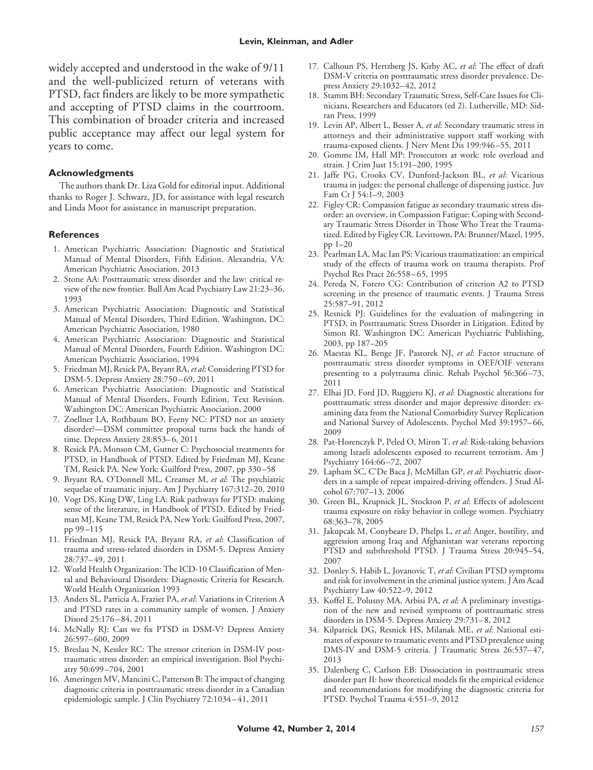widely accepted and understood in the wake of 9/11 and the well-publicized return of veterans with PTSD, fact finders are likely to be more sympathetic and accepting of PTSD claims in the courtroom. This combination of broader criteria and increased public acceptance may affect our legal system for years to come.

#### **Acknowledgments**

The authors thank Dr. Liza Gold for editorial input. Additional thanks to Roger J. Schwarz, JD, for assistance with legal research and Linda Moot for assistance in manuscript preparation.

#### **References**

- 1. American Psychiatric Association: Diagnostic and Statistical Manual of Mental Disorders, Fifth Edition. Alexandria, VA: American Psychiatric Association, 2013
- 2. Stone AA: Posttraumatic stress disorder and the law: critical review of the new frontier. Bull Am Acad Psychiatry Law 21:23–36, 1993
- 3. American Psychiatric Association: Diagnostic and Statistical Manual of Mental Disorders, Third Edition. Washington, DC: American Psychiatric Association, 1980
- 4. American Psychiatric Association: Diagnostic and Statistical Manual of Mental Disorders, Fourth Edition. Washington DC: American Psychiatric Association, 1994
- 5. Friedman MJ, Resick PA, Bryant RA,*et al*: Considering PTSD for DSM-5. Depress Anxiety 28:750 – 69, 2011
- 6. American Psychiatric Association: Diagnostic and Statistical Manual of Mental Disorders, Fourth Edition, Text Revision. Washington DC: American Psychiatric Association, 2000
- 7. Zoellner LA, Rothbaum BO, Feeny NC: PTSD not an anxiety disorder?—DSM committee proposal turns back the hands of time. Depress Anxiety 28:853– 6, 2011
- 8. Resick PA, Monson CM, Gutner C: Psychosocial treatments for PTSD, in Handbook of PTSD. Edited by Friedman MJ, Keane TM, Resick PA. New York: Guilford Press, 2007, pp 330 –58
- 9. Bryant RA, O'Donnell ML, Creamer M, *et al*: The psychiatric sequelae of traumatic injury. Am J Psychiatry 167:312–20, 2010
- 10. Vogt DS, King DW, Ling LA: Risk pathways for PTSD: making sense of the literature, in Handbook of PTSD. Edited by Friedman MJ, Keane TM, Resick PA. New York: Guilford Press, 2007, pp 99 –115
- 11. Friedman MJ, Resick PA, Bryant RA, *et al*: Classification of trauma and stress-related disorders in DSM-5. Depress Anxiety 28:737– 49, 2011
- 12. World Health Organization: The ICD-10 Classification of Mental and Behavioural Disorders: Diagnostic Criteria for Research. World Health Organization 1993
- 13. Anders SL, Patricia A, Frazier PA, *et al*: Variations in Criterion A and PTSD rates in a community sample of women. J Anxiety Disord 25:176 – 84, 2011
- 14. McNally RJ: Can we fix PTSD in DSM-V? Depress Anxiety 26:597– 600, 2009
- 15. Breslau N, Kessler RC: The stressor criterion in DSM-IV posttraumatic stress disorder: an empirical investigation. Biol Psychiatry 50:699 –704, 2001
- 16. Ameringen MV, Mancini C, Patterson B: The impact of changing diagnostic criteria in posttraumatic stress disorder in a Canadian epidemiologic sample. J Clin Psychiatry 72:1034 – 41, 2011
- 17. Calhoun PS, Hertzberg JS, Kirby AC, *et al*: The effect of draft DSM-V criteria on posttraumatic stress disorder prevalence. Depress Anxiety 29:1032– 42, 2012
- 18. Stamm BH: Secondary Traumatic Stress, Self-Care Issues for Clinicians, Researchers and Educators (ed 2). Lutherville, MD: Sidran Press, 1999
- 19. Levin AP, Albert L, Besser A, *et al*: Secondary traumatic stress in attorneys and their administrative support staff working with trauma-exposed clients. J Nerv Ment Dis 199:946 –55, 2011
- 20. Gomme IM, Hall MP: Prosecutors at work: role overload and strain. J Crim Just 15:191–200, 1995
- 21. Jaffe PG, Crooks CV, Dunford-Jackson BL, *et al*: Vicarious trauma in judges: the personal challenge of dispensing justice. Juv Fam Ct J 54:1–9, 2003
- 22. Figley CR: Compassion fatigue as secondary traumatic stress disorder: an overview, in Compassion Fatigue: Coping with Secondary Traumatic Stress Disorder in Those Who Treat the Traumatized. Edited by Figley CR. Levittown, PA: Brunner/Mazel, 1995, pp 1–20
- 23. Pearlman LA, Mac Ian PS: Vicarious traumatization: an empirical study of the effects of trauma work on trauma therapists. Prof Psychol Res Pract 26:558 – 65, 1995
- 24. Pereda N, Forero CG: Contribution of criterion A2 to PTSD screening in the presence of traumatic events. J Trauma Stress 25:587–91, 2012
- 25. Resnick PJ: Guidelines for the evaluation of malingering in PTSD, in Posttraumatic Stress Disorder in Litigation. Edited by Simon RI. Washington DC: American Psychiatric Publishing, 2003, pp 187–205
- 26. Maestas KL, Benge JF, Pastorek NJ, *et al*: Factor structure of posttraumatic stress disorder symptoms in OEF/OIF veterans presenting to a polytrauma clinic. Rehab Psychol 56:366 –73, 2011
- 27. Elhai JD, Ford JD, Ruggiero KJ, *et al*: Diagnostic alterations for posttraumatic stress disorder and major depressive disorder: examining data from the National Comorbidity Survey Replication and National Survey of Adolescents. Psychol Med 39:1957– 66, 2009
- 28. Pat-Horenczyk P, Peled O, Miron T, *et al*: Risk-taking behaviors among Israeli adolescents exposed to recurrent terrorism. Am J Psychiatry 164:66 –72, 2007
- 29. Lapham SC, C'De Baca J, McMillan GP, *et al*: Psychiatric disorders in a sample of repeat impaired-driving offenders. J Stud Alcohol 67:707–13, 2006
- 30. Green BL, Krupnick JL, Stockton P, *et al*: Effects of adolescent trauma exposure on risky behavior in college women. Psychiatry 68:363–78, 2005
- 31. Jakupcak M, Conybeare D, Phelps L, *et al*: Anger, hostility, and aggression among Iraq and Afghanistan war veterans reporting PTSD and subthreshold PTSD. J Trauma Stress 20:945–54, 2007
- 32. Donley S, Habib L, Jovanovic T, *et al*: Civilian PTSD symptoms and risk for involvement in the criminal justice system. J Am Acad Psychiatry Law 40:522–9, 2012
- 33. Koffel E, Polusny MA, Arbisi PA, *et al*: A preliminary investigation of the new and revised symptoms of posttraumatic stress disorders in DSM-5. Depress Anxiety 29:731– 8, 2012
- 34. Kilpatrick DG, Resnick HS, Milanak ME, *et al*: National estimates of exposure to traumatic events and PTSD prevalence using DMS-IV and DSM-5 criteria. J Traumatic Stress 26:537-47, 2013
- 35. Dalenberg C, Carlson EB: Dissociation in posttraumatic stress disorder part II: how theoretical models fit the empirical evidence and recommendations for modifying the diagnostic criteria for PTSD. Psychol Trauma 4:551–9, 2012